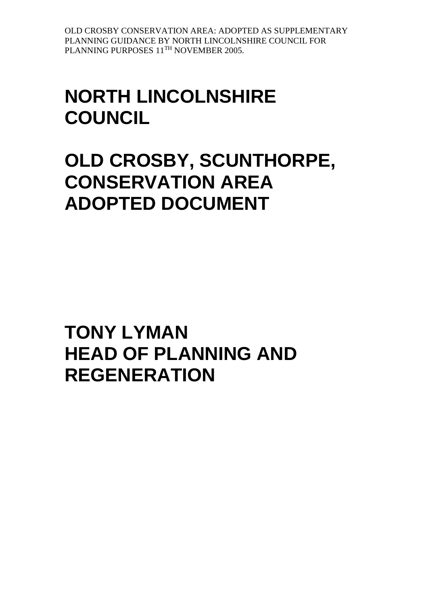# **NORTH LINCOLNSHIRE COUNCIL**

**OLD CROSBY, SCUNTHORPE, CONSERVATION AREA ADOPTED DOCUMENT**

**TONY LYMAN HEAD OF PLANNING AND REGENERATION**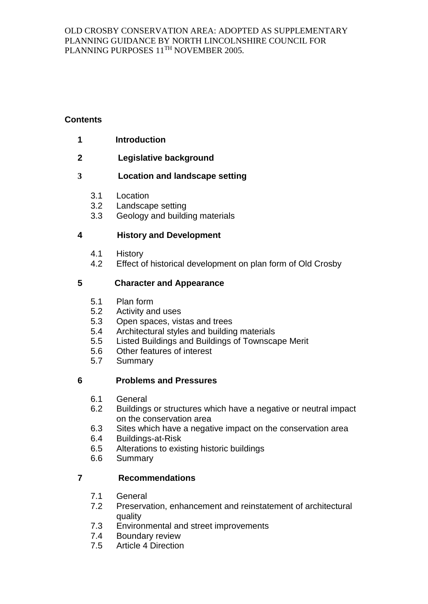# **Contents**

- **1 Introduction**
- **2 Legislative background**

# **3 Location and landscape setting**

- 3.1 Location
- 3.2 Landscape setting
- 3.3 Geology and building materials

# **4 History and Development**

- 4.1 History
- 4.2 Effect of historical development on plan form of Old Crosby

# **5 Character and Appearance**

- 5.1 Plan form
- 5.2 Activity and uses
- 5.3 Open spaces, vistas and trees
- 5.4 Architectural styles and building materials
- 5.5 Listed Buildings and Buildings of Townscape Merit
- 5.6 Other features of interest
- 5.7 Summary

# **6 Problems and Pressures**

- 6.1 General
- 6.2 Buildings or structures which have a negative or neutral impact on the conservation area
- 6.3 Sites which have a negative impact on the conservation area
- 6.4 Buildings-at-Risk
- 6.5 Alterations to existing historic buildings
- 6.6 Summary

# **7 Recommendations**

- 7.1 General
- 7.2 Preservation, enhancement and reinstatement of architectural quality
- 7.3 Environmental and street improvements
- 7.4 Boundary review
- 7.5 Article 4 Direction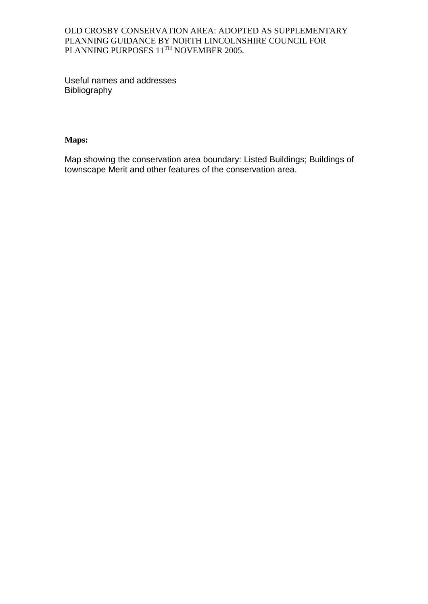Useful names and addresses Bibliography

## **Maps:**

Map showing the conservation area boundary: Listed Buildings; Buildings of townscape Merit and other features of the conservation area.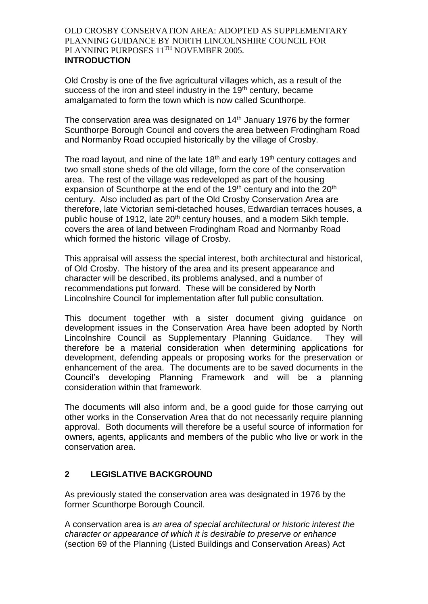Old Crosby is one of the five agricultural villages which, as a result of the success of the iron and steel industry in the 19<sup>th</sup> century, became amalgamated to form the town which is now called Scunthorpe.

The conservation area was designated on  $14<sup>th</sup>$  January 1976 by the former Scunthorpe Borough Council and covers the area between Frodingham Road and Normanby Road occupied historically by the village of Crosby.

The road layout, and nine of the late  $18<sup>th</sup>$  and early  $19<sup>th</sup>$  century cottages and two small stone sheds of the old village, form the core of the conservation area. The rest of the village was redeveloped as part of the housing expansion of Scunthorpe at the end of the 19<sup>th</sup> century and into the 20<sup>th</sup> century. Also included as part of the Old Crosby Conservation Area are therefore, late Victorian semi-detached houses, Edwardian terraces houses, a public house of 1912, late 20<sup>th</sup> century houses, and a modern Sikh temple. covers the area of land between Frodingham Road and Normanby Road which formed the historic village of Crosby.

This appraisal will assess the special interest, both architectural and historical, of Old Crosby. The history of the area and its present appearance and character will be described, its problems analysed, and a number of recommendations put forward. These will be considered by North Lincolnshire Council for implementation after full public consultation.

This document together with a sister document giving guidance on development issues in the Conservation Area have been adopted by North Lincolnshire Council as Supplementary Planning Guidance. They will therefore be a material consideration when determining applications for development, defending appeals or proposing works for the preservation or enhancement of the area. The documents are to be saved documents in the Council's developing Planning Framework and will be a planning consideration within that framework.

The documents will also inform and, be a good guide for those carrying out other works in the Conservation Area that do not necessarily require planning approval. Both documents will therefore be a useful source of information for owners, agents, applicants and members of the public who live or work in the conservation area.

# **2 LEGISLATIVE BACKGROUND**

As previously stated the conservation area was designated in 1976 by the former Scunthorpe Borough Council.

A conservation area is *an area of special architectural or historic interest the character or appearance of which it is desirable to preserve or enhance*  (section 69 of the Planning (Listed Buildings and Conservation Areas) Act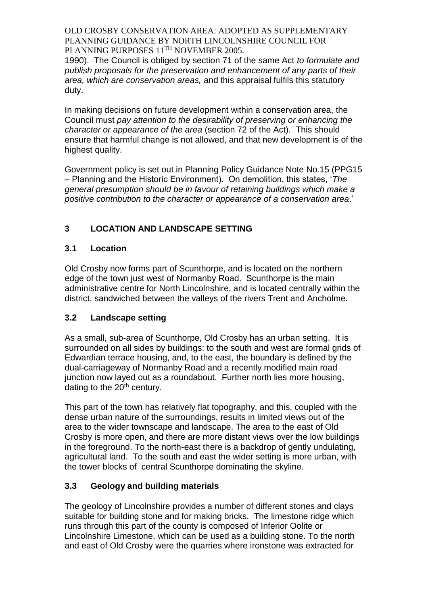1990). The Council is obliged by section 71 of the same Act *to formulate and publish proposals for the preservation and enhancement of any parts of their area, which are conservation areas,* and this appraisal fulfils this statutory duty.

In making decisions on future development within a conservation area, the Council must *pay attention to the desirability of preserving or enhancing the character or appearance of the area* (section 72 of the Act). This should ensure that harmful change is not allowed, and that new development is of the highest quality.

Government policy is set out in Planning Policy Guidance Note No.15 (PPG15 – Planning and the Historic Environment). On demolition, this states, '*The general presumption should be in favour of retaining buildings which make a positive contribution to the character or appearance of a conservation area*.'

# **3 LOCATION AND LANDSCAPE SETTING**

# **3.1 Location**

Old Crosby now forms part of Scunthorpe, and is located on the northern edge of the town just west of Normanby Road. Scunthorpe is the main administrative centre for North Lincolnshire, and is located centrally within the district, sandwiched between the valleys of the rivers Trent and Ancholme.

# **3.2 Landscape setting**

As a small, sub-area of Scunthorpe, Old Crosby has an urban setting. It is surrounded on all sides by buildings: to the south and west are formal grids of Edwardian terrace housing, and, to the east, the boundary is defined by the dual-carriageway of Normanby Road and a recently modified main road junction now layed out as a roundabout. Further north lies more housing, dating to the  $20<sup>th</sup>$  century.

This part of the town has relatively flat topography, and this, coupled with the dense urban nature of the surroundings, results in limited views out of the area to the wider townscape and landscape. The area to the east of Old Crosby is more open, and there are more distant views over the low buildings in the foreground. To the north-east there is a backdrop of gently undulating, agricultural land. To the south and east the wider setting is more urban, with the tower blocks of central Scunthorpe dominating the skyline.

# **3.3 Geology and building materials**

The geology of Lincolnshire provides a number of different stones and clays suitable for building stone and for making bricks. The limestone ridge which runs through this part of the county is composed of Inferior Oolite or Lincolnshire Limestone, which can be used as a building stone. To the north and east of Old Crosby were the quarries where ironstone was extracted for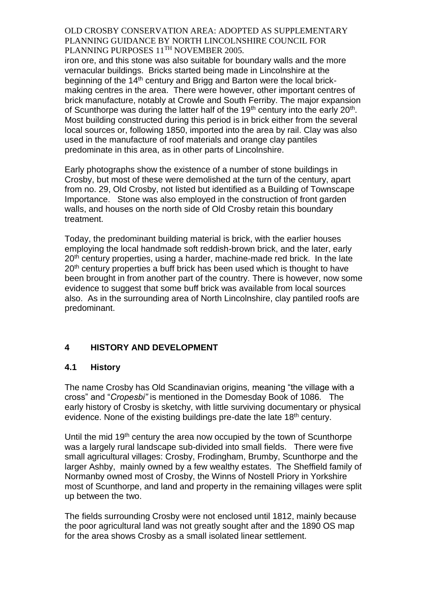iron ore, and this stone was also suitable for boundary walls and the more vernacular buildings. Bricks started being made in Lincolnshire at the beginning of the 14<sup>th</sup> century and Brigg and Barton were the local brickmaking centres in the area. There were however, other important centres of brick manufacture, notably at Crowle and South Ferriby. The major expansion of Scunthorpe was during the latter half of the 19<sup>th</sup> century into the early  $20<sup>th</sup>$ . Most building constructed during this period is in brick either from the several local sources or, following 1850, imported into the area by rail. Clay was also used in the manufacture of roof materials and orange clay pantiles predominate in this area, as in other parts of Lincolnshire.

Early photographs show the existence of a number of stone buildings in Crosby, but most of these were demolished at the turn of the century, apart from no. 29, Old Crosby, not listed but identified as a Building of Townscape Importance. Stone was also employed in the construction of front garden walls, and houses on the north side of Old Crosby retain this boundary treatment.

Today, the predominant building material is brick, with the earlier houses employing the local handmade soft reddish-brown brick, and the later, early 20<sup>th</sup> century properties, using a harder, machine-made red brick. In the late 20<sup>th</sup> century properties a buff brick has been used which is thought to have been brought in from another part of the country. There is however, now some evidence to suggest that some buff brick was available from local sources also. As in the surrounding area of North Lincolnshire, clay pantiled roofs are predominant.

# **4 HISTORY AND DEVELOPMENT**

#### **4.1 History**

The name Crosby has Old Scandinavian origins*,* meaning "the village with a cross" and "*Cropesbi"* is mentioned in the Domesday Book of 1086*.* The early history of Crosby is sketchy, with little surviving documentary or physical evidence. None of the existing buildings pre-date the late 18<sup>th</sup> century.

Until the mid 19<sup>th</sup> century the area now occupied by the town of Scunthorpe was a largely rural landscape sub-divided into small fields. There were five small agricultural villages: Crosby, Frodingham, Brumby, Scunthorpe and the larger Ashby, mainly owned by a few wealthy estates. The Sheffield family of Normanby owned most of Crosby, the Winns of Nostell Priory in Yorkshire most of Scunthorpe, and land and property in the remaining villages were split up between the two.

The fields surrounding Crosby were not enclosed until 1812, mainly because the poor agricultural land was not greatly sought after and the 1890 OS map for the area shows Crosby as a small isolated linear settlement.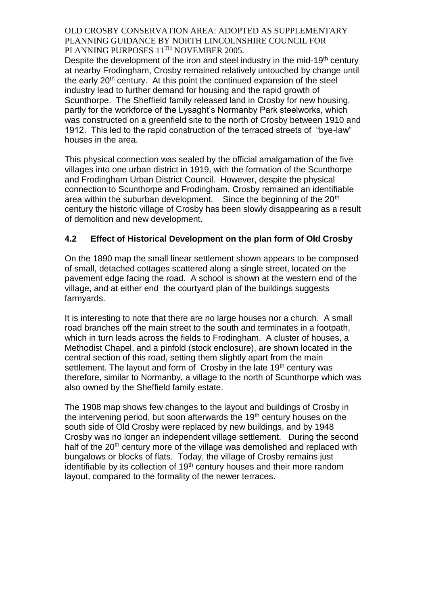Despite the development of the iron and steel industry in the mid-19<sup>th</sup> century at nearby Frodingham, Crosby remained relatively untouched by change until the early 20<sup>th</sup> century. At this point the continued expansion of the steel industry lead to further demand for housing and the rapid growth of Scunthorpe. The Sheffield family released land in Crosby for new housing, partly for the workforce of the Lysaght's Normanby Park steelworks, which was constructed on a greenfield site to the north of Crosby between 1910 and 1912. This led to the rapid construction of the terraced streets of "bye-law" houses in the area.

This physical connection was sealed by the official amalgamation of the five villages into one urban district in 1919, with the formation of the Scunthorpe and Frodingham Urban District Council. However, despite the physical connection to Scunthorpe and Frodingham, Crosby remained an identifiable area within the suburban development. Since the beginning of the  $20<sup>th</sup>$ century the historic village of Crosby has been slowly disappearing as a result of demolition and new development.

## **4.2 Effect of Historical Development on the plan form of Old Crosby**

On the 1890 map the small linear settlement shown appears to be composed of small, detached cottages scattered along a single street, located on the pavement edge facing the road. A school is shown at the western end of the village, and at either end the courtyard plan of the buildings suggests farmyards.

It is interesting to note that there are no large houses nor a church. A small road branches off the main street to the south and terminates in a footpath, which in turn leads across the fields to Frodingham. A cluster of houses, a Methodist Chapel, and a pinfold (stock enclosure), are shown located in the central section of this road, setting them slightly apart from the main settlement. The layout and form of Crosby in the late 19<sup>th</sup> century was therefore, similar to Normanby, a village to the north of Scunthorpe which was also owned by the Sheffield family estate.

The 1908 map shows few changes to the layout and buildings of Crosby in the intervening period, but soon afterwards the  $19<sup>th</sup>$  century houses on the south side of Old Crosby were replaced by new buildings, and by 1948 Crosby was no longer an independent village settlement. During the second half of the 20<sup>th</sup> century more of the village was demolished and replaced with bungalows or blocks of flats. Today, the village of Crosby remains just identifiable by its collection of 19<sup>th</sup> century houses and their more random layout, compared to the formality of the newer terraces.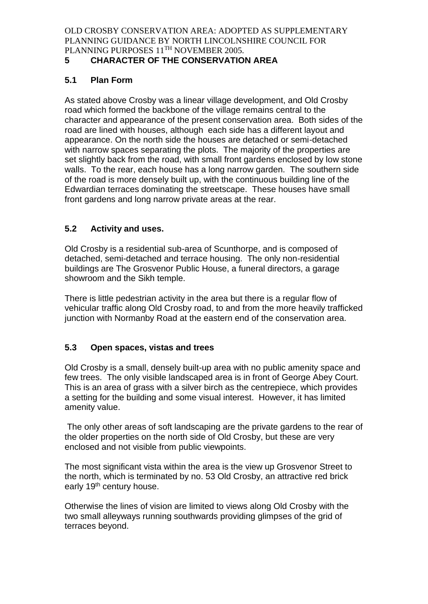# **5 CHARACTER OF THE CONSERVATION AREA**

## **5.1 Plan Form**

As stated above Crosby was a linear village development, and Old Crosby road which formed the backbone of the village remains central to the character and appearance of the present conservation area. Both sides of the road are lined with houses, although each side has a different layout and appearance. On the north side the houses are detached or semi-detached with narrow spaces separating the plots. The majority of the properties are set slightly back from the road, with small front gardens enclosed by low stone walls. To the rear, each house has a long narrow garden. The southern side of the road is more densely built up, with the continuous building line of the Edwardian terraces dominating the streetscape. These houses have small front gardens and long narrow private areas at the rear.

# **5.2 Activity and uses.**

Old Crosby is a residential sub-area of Scunthorpe, and is composed of detached, semi-detached and terrace housing. The only non-residential buildings are The Grosvenor Public House, a funeral directors, a garage showroom and the Sikh temple.

There is little pedestrian activity in the area but there is a regular flow of vehicular traffic along Old Crosby road, to and from the more heavily trafficked junction with Normanby Road at the eastern end of the conservation area.

# **5.3 Open spaces, vistas and trees**

Old Crosby is a small, densely built-up area with no public amenity space and few trees. The only visible landscaped area is in front of George Abey Court. This is an area of grass with a silver birch as the centrepiece, which provides a setting for the building and some visual interest. However, it has limited amenity value.

The only other areas of soft landscaping are the private gardens to the rear of the older properties on the north side of Old Crosby, but these are very enclosed and not visible from public viewpoints.

The most significant vista within the area is the view up Grosvenor Street to the north, which is terminated by no. 53 Old Crosby, an attractive red brick early 19<sup>th</sup> century house.

Otherwise the lines of vision are limited to views along Old Crosby with the two small alleyways running southwards providing glimpses of the grid of terraces beyond.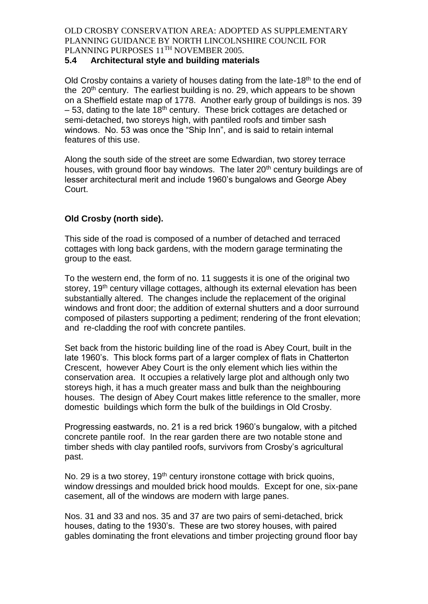## **5.4 Architectural style and building materials**

Old Crosby contains a variety of houses dating from the late-18<sup>th</sup> to the end of the  $20<sup>th</sup>$  century. The earliest building is no. 29, which appears to be shown on a Sheffield estate map of 1778. Another early group of buildings is nos. 39  $-53$ , dating to the late 18<sup>th</sup> century. These brick cottages are detached or semi-detached, two storeys high, with pantiled roofs and timber sash windows. No. 53 was once the "Ship Inn", and is said to retain internal features of this use.

Along the south side of the street are some Edwardian, two storey terrace houses, with ground floor bay windows. The later 20<sup>th</sup> century buildings are of lesser architectural merit and include 1960's bungalows and George Abey Court.

# **Old Crosby (north side).**

This side of the road is composed of a number of detached and terraced cottages with long back gardens, with the modern garage terminating the group to the east.

To the western end, the form of no. 11 suggests it is one of the original two storey, 19<sup>th</sup> century village cottages, although its external elevation has been substantially altered. The changes include the replacement of the original windows and front door; the addition of external shutters and a door surround composed of pilasters supporting a pediment; rendering of the front elevation; and re-cladding the roof with concrete pantiles.

Set back from the historic building line of the road is Abey Court, built in the late 1960's. This block forms part of a larger complex of flats in Chatterton Crescent, however Abey Court is the only element which lies within the conservation area. It occupies a relatively large plot and although only two storeys high, it has a much greater mass and bulk than the neighbouring houses. The design of Abey Court makes little reference to the smaller, more domestic buildings which form the bulk of the buildings in Old Crosby.

Progressing eastwards, no. 21 is a red brick 1960's bungalow, with a pitched concrete pantile roof. In the rear garden there are two notable stone and timber sheds with clay pantiled roofs, survivors from Crosby's agricultural past.

No. 29 is a two storey, 19<sup>th</sup> century ironstone cottage with brick quoins, window dressings and moulded brick hood moulds. Except for one, six-pane casement, all of the windows are modern with large panes.

Nos. 31 and 33 and nos. 35 and 37 are two pairs of semi-detached, brick houses, dating to the 1930's. These are two storey houses, with paired gables dominating the front elevations and timber projecting ground floor bay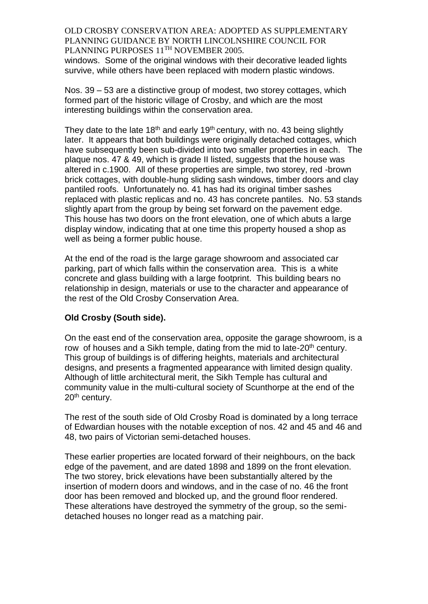windows. Some of the original windows with their decorative leaded lights survive, while others have been replaced with modern plastic windows.

Nos. 39 – 53 are a distinctive group of modest, two storey cottages, which formed part of the historic village of Crosby, and which are the most interesting buildings within the conservation area.

They date to the late  $18<sup>th</sup>$  and early  $19<sup>th</sup>$  century, with no. 43 being slightly later. It appears that both buildings were originally detached cottages, which have subsequently been sub-divided into two smaller properties in each. The plaque nos. 47 & 49, which is grade II listed, suggests that the house was altered in c.1900. All of these properties are simple, two storey, red -brown brick cottages, with double-hung sliding sash windows, timber doors and clay pantiled roofs. Unfortunately no. 41 has had its original timber sashes replaced with plastic replicas and no. 43 has concrete pantiles. No. 53 stands slightly apart from the group by being set forward on the pavement edge. This house has two doors on the front elevation, one of which abuts a large display window, indicating that at one time this property housed a shop as well as being a former public house.

At the end of the road is the large garage showroom and associated car parking, part of which falls within the conservation area. This is a white concrete and glass building with a large footprint. This building bears no relationship in design, materials or use to the character and appearance of the rest of the Old Crosby Conservation Area.

#### **Old Crosby (South side).**

On the east end of the conservation area, opposite the garage showroom, is a row of houses and a Sikh temple, dating from the mid to late-20<sup>th</sup> century. This group of buildings is of differing heights, materials and architectural designs, and presents a fragmented appearance with limited design quality. Although of little architectural merit, the Sikh Temple has cultural and community value in the multi-cultural society of Scunthorpe at the end of the 20<sup>th</sup> century.

The rest of the south side of Old Crosby Road is dominated by a long terrace of Edwardian houses with the notable exception of nos. 42 and 45 and 46 and 48, two pairs of Victorian semi-detached houses.

These earlier properties are located forward of their neighbours, on the back edge of the pavement, and are dated 1898 and 1899 on the front elevation. The two storey, brick elevations have been substantially altered by the insertion of modern doors and windows, and in the case of no. 46 the front door has been removed and blocked up, and the ground floor rendered. These alterations have destroyed the symmetry of the group, so the semidetached houses no longer read as a matching pair.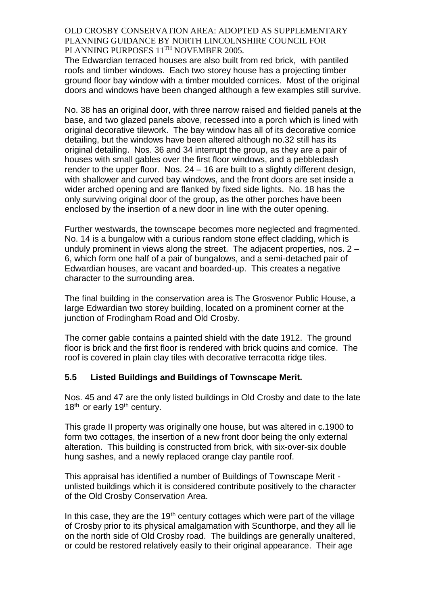The Edwardian terraced houses are also built from red brick, with pantiled roofs and timber windows. Each two storey house has a projecting timber ground floor bay window with a timber moulded cornices. Most of the original doors and windows have been changed although a few examples still survive.

No. 38 has an original door, with three narrow raised and fielded panels at the base, and two glazed panels above, recessed into a porch which is lined with original decorative tilework. The bay window has all of its decorative cornice detailing, but the windows have been altered although no.32 still has its original detailing. Nos. 36 and 34 interrupt the group, as they are a pair of houses with small gables over the first floor windows, and a pebbledash render to the upper floor. Nos. 24 – 16 are built to a slightly different design, with shallower and curved bay windows, and the front doors are set inside a wider arched opening and are flanked by fixed side lights. No. 18 has the only surviving original door of the group, as the other porches have been enclosed by the insertion of a new door in line with the outer opening.

Further westwards, the townscape becomes more neglected and fragmented. No. 14 is a bungalow with a curious random stone effect cladding, which is unduly prominent in views along the street. The adjacent properties, nos. 2 – 6, which form one half of a pair of bungalows, and a semi-detached pair of Edwardian houses, are vacant and boarded-up. This creates a negative character to the surrounding area.

The final building in the conservation area is The Grosvenor Public House, a large Edwardian two storey building, located on a prominent corner at the junction of Frodingham Road and Old Crosby.

The corner gable contains a painted shield with the date 1912. The ground floor is brick and the first floor is rendered with brick quoins and cornice. The roof is covered in plain clay tiles with decorative terracotta ridge tiles.

#### **5.5 Listed Buildings and Buildings of Townscape Merit.**

Nos. 45 and 47 are the only listed buildings in Old Crosby and date to the late 18<sup>th</sup> or early 19<sup>th</sup> century.

This grade II property was originally one house, but was altered in c.1900 to form two cottages, the insertion of a new front door being the only external alteration. This building is constructed from brick, with six-over-six double hung sashes, and a newly replaced orange clay pantile roof.

This appraisal has identified a number of Buildings of Townscape Merit unlisted buildings which it is considered contribute positively to the character of the Old Crosby Conservation Area.

In this case, they are the 19<sup>th</sup> century cottages which were part of the village of Crosby prior to its physical amalgamation with Scunthorpe, and they all lie on the north side of Old Crosby road. The buildings are generally unaltered, or could be restored relatively easily to their original appearance. Their age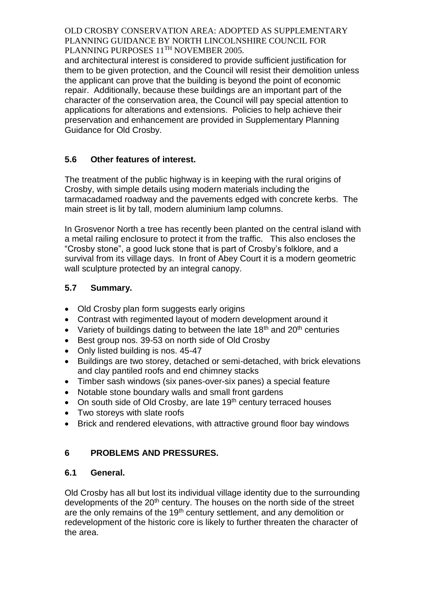and architectural interest is considered to provide sufficient justification for them to be given protection, and the Council will resist their demolition unless the applicant can prove that the building is beyond the point of economic repair. Additionally, because these buildings are an important part of the character of the conservation area, the Council will pay special attention to applications for alterations and extensions. Policies to help achieve their preservation and enhancement are provided in Supplementary Planning Guidance for Old Crosby.

# **5.6 Other features of interest.**

The treatment of the public highway is in keeping with the rural origins of Crosby, with simple details using modern materials including the tarmacadamed roadway and the pavements edged with concrete kerbs. The main street is lit by tall, modern aluminium lamp columns.

In Grosvenor North a tree has recently been planted on the central island with a metal railing enclosure to protect it from the traffic. This also encloses the "Crosby stone", a good luck stone that is part of Crosby's folklore, and a survival from its village days. In front of Abey Court it is a modern geometric wall sculpture protected by an integral canopy.

# **5.7 Summary.**

- Old Crosby plan form suggests early origins
- Contrast with regimented layout of modern development around it
- Variety of buildings dating to between the late  $18<sup>th</sup>$  and  $20<sup>th</sup>$  centuries
- Best group nos. 39-53 on north side of Old Crosby
- Only listed building is nos. 45-47
- Buildings are two storey, detached or semi-detached, with brick elevations and clay pantiled roofs and end chimney stacks
- Timber sash windows (six panes-over-six panes) a special feature
- Notable stone boundary walls and small front gardens
- On south side of Old Crosby, are late  $19<sup>th</sup>$  century terraced houses
- Two storeys with slate roofs
- Brick and rendered elevations, with attractive ground floor bay windows

# **6 PROBLEMS AND PRESSURES.**

# **6.1 General.**

Old Crosby has all but lost its individual village identity due to the surrounding developments of the 20<sup>th</sup> century. The houses on the north side of the street are the only remains of the 19<sup>th</sup> century settlement, and any demolition or redevelopment of the historic core is likely to further threaten the character of the area.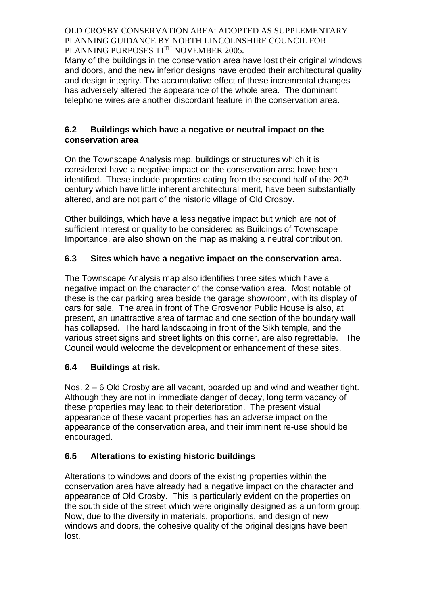Many of the buildings in the conservation area have lost their original windows and doors, and the new inferior designs have eroded their architectural quality and design integrity. The accumulative effect of these incremental changes has adversely altered the appearance of the whole area. The dominant telephone wires are another discordant feature in the conservation area.

## **6.2 Buildings which have a negative or neutral impact on the conservation area**

On the Townscape Analysis map, buildings or structures which it is considered have a negative impact on the conservation area have been identified. These include properties dating from the second half of the  $20<sup>th</sup>$ century which have little inherent architectural merit, have been substantially altered, and are not part of the historic village of Old Crosby.

Other buildings, which have a less negative impact but which are not of sufficient interest or quality to be considered as Buildings of Townscape Importance, are also shown on the map as making a neutral contribution.

# **6.3 Sites which have a negative impact on the conservation area.**

The Townscape Analysis map also identifies three sites which have a negative impact on the character of the conservation area. Most notable of these is the car parking area beside the garage showroom, with its display of cars for sale. The area in front of The Grosvenor Public House is also, at present, an unattractive area of tarmac and one section of the boundary wall has collapsed. The hard landscaping in front of the Sikh temple, and the various street signs and street lights on this corner, are also regrettable. The Council would welcome the development or enhancement of these sites.

# **6.4 Buildings at risk.**

Nos. 2 – 6 Old Crosby are all vacant, boarded up and wind and weather tight. Although they are not in immediate danger of decay, long term vacancy of these properties may lead to their deterioration. The present visual appearance of these vacant properties has an adverse impact on the appearance of the conservation area, and their imminent re-use should be encouraged.

# **6.5 Alterations to existing historic buildings**

Alterations to windows and doors of the existing properties within the conservation area have already had a negative impact on the character and appearance of Old Crosby. This is particularly evident on the properties on the south side of the street which were originally designed as a uniform group. Now, due to the diversity in materials, proportions, and design of new windows and doors, the cohesive quality of the original designs have been lost.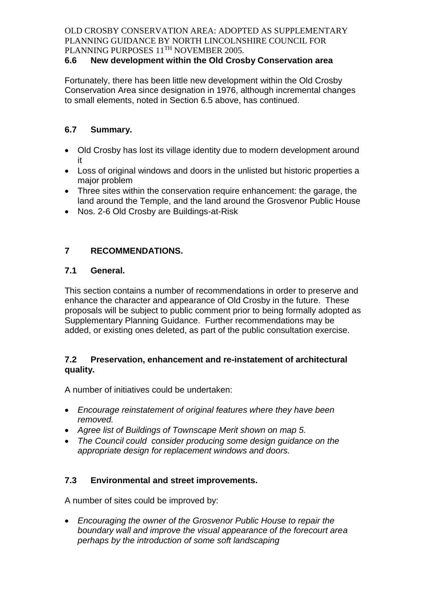# **6.6 New development within the Old Crosby Conservation area**

Fortunately, there has been little new development within the Old Crosby Conservation Area since designation in 1976, although incremental changes to small elements, noted in Section 6.5 above, has continued.

# **6.7 Summary.**

- Old Crosby has lost its village identity due to modern development around it
- Loss of original windows and doors in the unlisted but historic properties a major problem
- Three sites within the conservation require enhancement: the garage, the land around the Temple, and the land around the Grosvenor Public House
- Nos. 2-6 Old Crosby are Buildings-at-Risk

# **7 RECOMMENDATIONS.**

# **7.1 General.**

This section contains a number of recommendations in order to preserve and enhance the character and appearance of Old Crosby in the future. These proposals will be subject to public comment prior to being formally adopted as Supplementary Planning Guidance. Further recommendations may be added, or existing ones deleted, as part of the public consultation exercise.

# **7.2 Preservation, enhancement and re-instatement of architectural quality.**

A number of initiatives could be undertaken:

- *Encourage reinstatement of original features where they have been removed.*
- *Agree list of Buildings of Townscape Merit shown on map 5.*
- *The Council could consider producing some design guidance on the appropriate design for replacement windows and doors.*

# **7.3 Environmental and street improvements.**

A number of sites could be improved by:

 *Encouraging the owner of the Grosvenor Public House to repair the boundary wall and improve the visual appearance of the forecourt area perhaps by the introduction of some soft landscaping*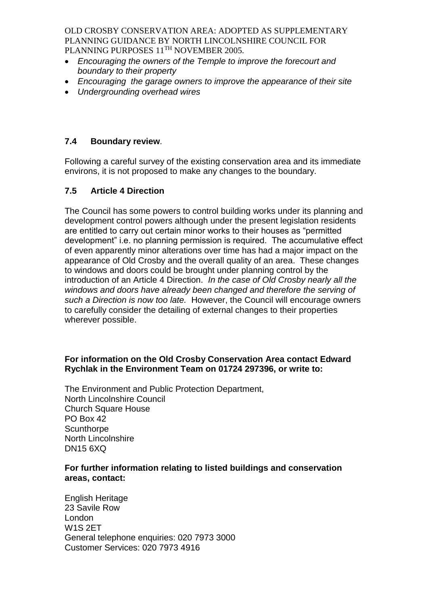- *Encouraging the owners of the Temple to improve the forecourt and boundary to their property*
- *Encouraging the garage owners to improve the appearance of their site*
- *Undergrounding overhead wires*

# **7.4 Boundary review***.*

Following a careful survey of the existing conservation area and its immediate environs, it is not proposed to make any changes to the boundary.

# **7.5 Article 4 Direction**

The Council has some powers to control building works under its planning and development control powers although under the present legislation residents are entitled to carry out certain minor works to their houses as "permitted development" i.e. no planning permission is required. The accumulative effect of even apparently minor alterations over time has had a major impact on the appearance of Old Crosby and the overall quality of an area. These changes to windows and doors could be brought under planning control by the introduction of an Article 4 Direction. *In the case of Old Crosby nearly all the windows and doors have already been changed and therefore the serving of such a Direction is now too late.* However, the Council will encourage owners to carefully consider the detailing of external changes to their properties wherever possible.

## **For information on the Old Crosby Conservation Area contact Edward Rychlak in the Environment Team on 01724 297396, or write to:**

The Environment and Public Protection Department, North Lincolnshire Council Church Square House PO Box 42 **Scunthorpe** North Lincolnshire DN15 6XQ

## **For further information relating to listed buildings and conservation areas, contact:**

English Heritage 23 Savile Row London W1S 2ET General telephone enquiries: 020 7973 3000 Customer Services: 020 7973 4916